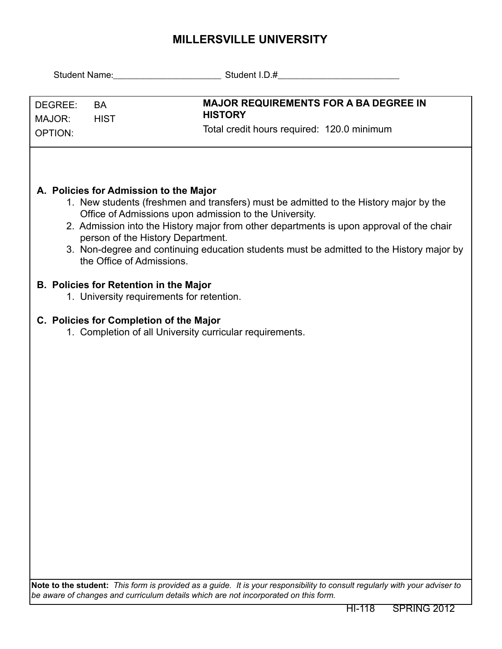## **MILLERSVILLE UNIVERSITY**

| DEGREE:<br><b>BA</b><br>MAJOR:<br><b>HIST</b><br><b>OPTION:</b>                                                                                                                                                                                                                                                                                                                                                                                     | <b>MAJOR REQUIREMENTS FOR A BA DEGREE IN</b><br><b>HISTORY</b><br>Total credit hours required: 120.0 minimum               |  |  |  |  |  |  |  |
|-----------------------------------------------------------------------------------------------------------------------------------------------------------------------------------------------------------------------------------------------------------------------------------------------------------------------------------------------------------------------------------------------------------------------------------------------------|----------------------------------------------------------------------------------------------------------------------------|--|--|--|--|--|--|--|
| A. Policies for Admission to the Major<br>1. New students (freshmen and transfers) must be admitted to the History major by the<br>Office of Admissions upon admission to the University.<br>2. Admission into the History major from other departments is upon approval of the chair<br>person of the History Department.<br>3. Non-degree and continuing education students must be admitted to the History major by<br>the Office of Admissions. |                                                                                                                            |  |  |  |  |  |  |  |
| <b>B. Policies for Retention in the Major</b><br>1. University requirements for retention.                                                                                                                                                                                                                                                                                                                                                          |                                                                                                                            |  |  |  |  |  |  |  |
| C. Policies for Completion of the Major<br>1. Completion of all University curricular requirements.                                                                                                                                                                                                                                                                                                                                                 |                                                                                                                            |  |  |  |  |  |  |  |
|                                                                                                                                                                                                                                                                                                                                                                                                                                                     |                                                                                                                            |  |  |  |  |  |  |  |
|                                                                                                                                                                                                                                                                                                                                                                                                                                                     |                                                                                                                            |  |  |  |  |  |  |  |
|                                                                                                                                                                                                                                                                                                                                                                                                                                                     |                                                                                                                            |  |  |  |  |  |  |  |
|                                                                                                                                                                                                                                                                                                                                                                                                                                                     |                                                                                                                            |  |  |  |  |  |  |  |
|                                                                                                                                                                                                                                                                                                                                                                                                                                                     |                                                                                                                            |  |  |  |  |  |  |  |
|                                                                                                                                                                                                                                                                                                                                                                                                                                                     | Note to the student: This form is provided as a guide. It is your responsibility to consult regularly with your adviser to |  |  |  |  |  |  |  |
| be aware of changes and curriculum details which are not incorporated on this form.                                                                                                                                                                                                                                                                                                                                                                 |                                                                                                                            |  |  |  |  |  |  |  |